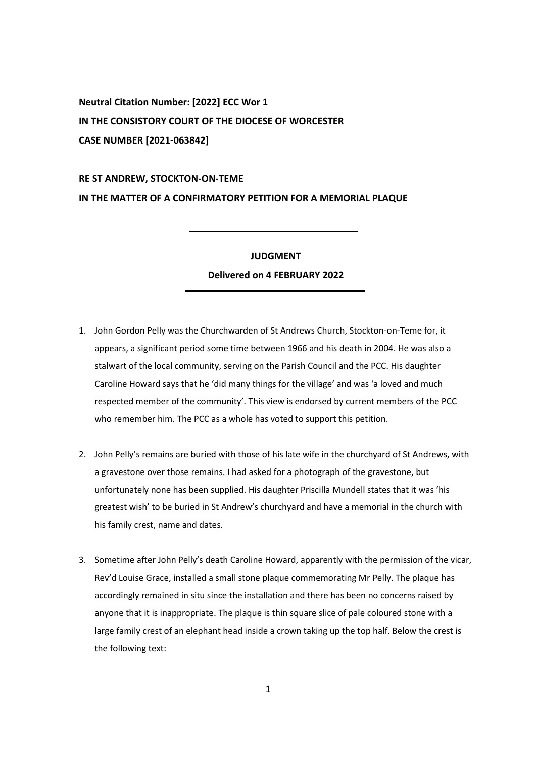**Neutral Citation Number: [2022] ECC Wor 1 IN THE CONSISTORY COURT OF THE DIOCESE OF WORCESTER CASE NUMBER [2021-063842]** 

## **RE ST ANDREW, STOCKTON-ON-TEME IN THE MATTER OF A CONFIRMATORY PETITION FOR A MEMORIAL PLAQUE**

## **JUDGMENT**

## **Delivered on 4 FEBRUARY 2022**

- 1. John Gordon Pelly was the Churchwarden of St Andrews Church, Stockton-on-Teme for, it appears, a significant period some time between 1966 and his death in 2004. He was also a stalwart of the local community, serving on the Parish Council and the PCC. His daughter Caroline Howard says that he 'did many things for the village' and was 'a loved and much respected member of the community'. This view is endorsed by current members of the PCC who remember him. The PCC as a whole has voted to support this petition.
- 2. John Pelly's remains are buried with those of his late wife in the churchyard of St Andrews, with a gravestone over those remains. I had asked for a photograph of the gravestone, but unfortunately none has been supplied. His daughter Priscilla Mundell states that it was 'his greatest wish' to be buried in St Andrew's churchyard and have a memorial in the church with his family crest, name and dates.
- 3. Sometime after John Pelly's death Caroline Howard, apparently with the permission of the vicar, Rev'd Louise Grace, installed a small stone plaque commemorating Mr Pelly. The plaque has accordingly remained in situ since the installation and there has been no concerns raised by anyone that it is inappropriate. The plaque is thin square slice of pale coloured stone with a large family crest of an elephant head inside a crown taking up the top half. Below the crest is the following text: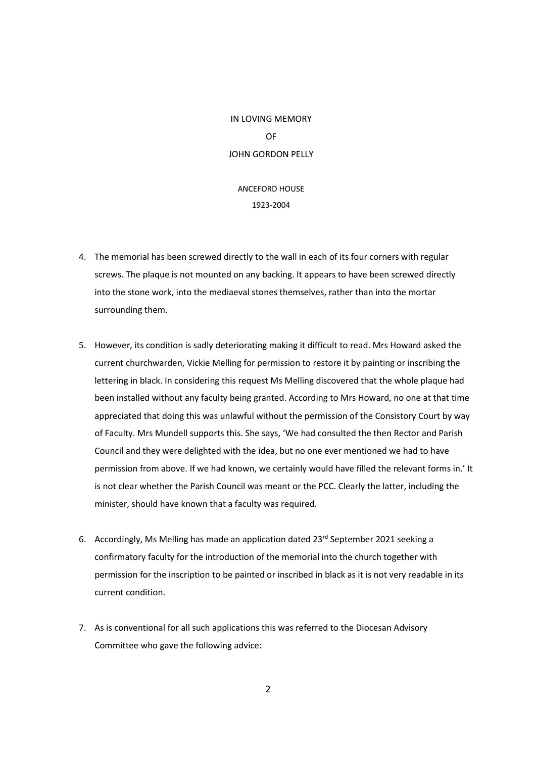IN LOVING MEMORY OF JOHN GORDON PELLY

## ANCEFORD HOUSE 1923-2004

- 4. The memorial has been screwed directly to the wall in each of its four corners with regular screws. The plaque is not mounted on any backing. It appears to have been screwed directly into the stone work, into the mediaeval stones themselves, rather than into the mortar surrounding them.
- 5. However, its condition is sadly deteriorating making it difficult to read. Mrs Howard asked the current churchwarden, Vickie Melling for permission to restore it by painting or inscribing the lettering in black. In considering this request Ms Melling discovered that the whole plaque had been installed without any faculty being granted. According to Mrs Howard, no one at that time appreciated that doing this was unlawful without the permission of the Consistory Court by way of Faculty. Mrs Mundell supports this. She says, 'We had consulted the then Rector and Parish Council and they were delighted with the idea, but no one ever mentioned we had to have permission from above. If we had known, we certainly would have filled the relevant forms in.' It is not clear whether the Parish Council was meant or the PCC. Clearly the latter, including the minister, should have known that a faculty was required.
- 6. Accordingly, Ms Melling has made an application dated 23<sup>rd</sup> September 2021 seeking a confirmatory faculty for the introduction of the memorial into the church together with permission for the inscription to be painted or inscribed in black as it is not very readable in its current condition.
- 7. As is conventional for all such applications this was referred to the Diocesan Advisory Committee who gave the following advice: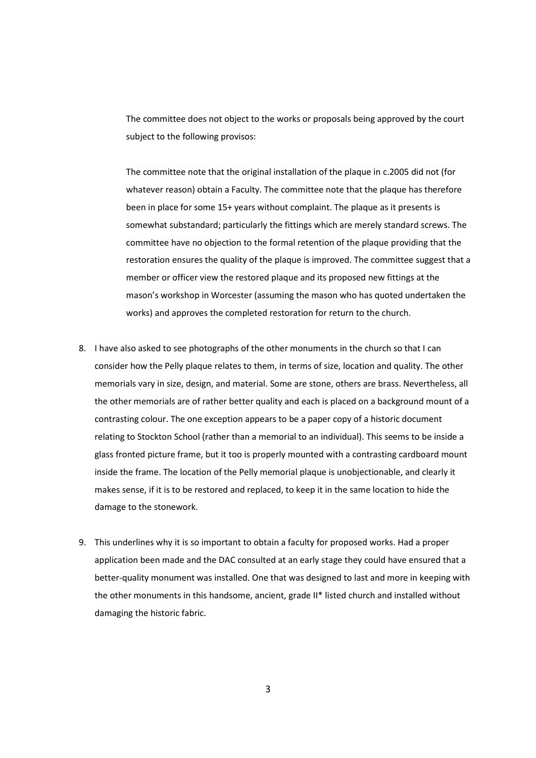The committee does not object to the works or proposals being approved by the court subject to the following provisos:

The committee note that the original installation of the plaque in c.2005 did not (for whatever reason) obtain a Faculty. The committee note that the plaque has therefore been in place for some 15+ years without complaint. The plaque as it presents is somewhat substandard; particularly the fittings which are merely standard screws. The committee have no objection to the formal retention of the plaque providing that the restoration ensures the quality of the plaque is improved. The committee suggest that a member or officer view the restored plaque and its proposed new fittings at the mason's workshop in Worcester (assuming the mason who has quoted undertaken the works) and approves the completed restoration for return to the church.

- 8. I have also asked to see photographs of the other monuments in the church so that I can consider how the Pelly plaque relates to them, in terms of size, location and quality. The other memorials vary in size, design, and material. Some are stone, others are brass. Nevertheless, all the other memorials are of rather better quality and each is placed on a background mount of a contrasting colour. The one exception appears to be a paper copy of a historic document relating to Stockton School (rather than a memorial to an individual). This seems to be inside a glass fronted picture frame, but it too is properly mounted with a contrasting cardboard mount inside the frame. The location of the Pelly memorial plaque is unobjectionable, and clearly it makes sense, if it is to be restored and replaced, to keep it in the same location to hide the damage to the stonework.
- 9. This underlines why it is so important to obtain a faculty for proposed works. Had a proper application been made and the DAC consulted at an early stage they could have ensured that a better-quality monument was installed. One that was designed to last and more in keeping with the other monuments in this handsome, ancient, grade II\* listed church and installed without damaging the historic fabric.

3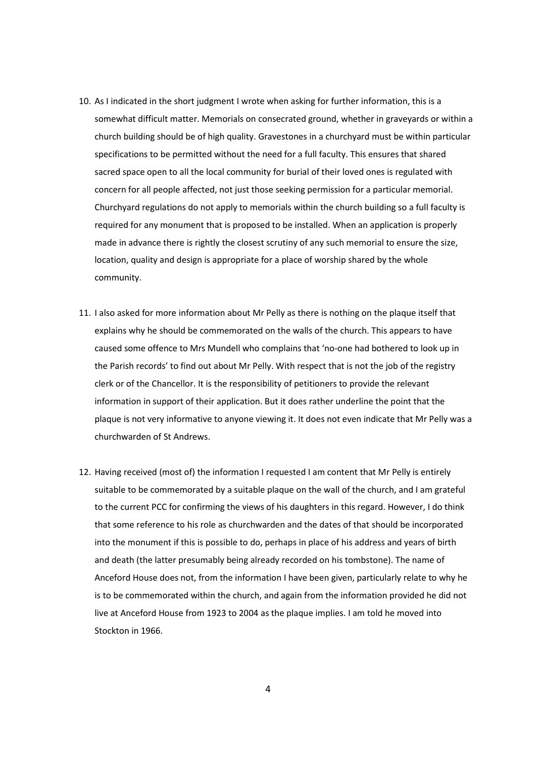- 10. As I indicated in the short judgment I wrote when asking for further information, this is a somewhat difficult matter. Memorials on consecrated ground, whether in graveyards or within a church building should be of high quality. Gravestones in a churchyard must be within particular specifications to be permitted without the need for a full faculty. This ensures that shared sacred space open to all the local community for burial of their loved ones is regulated with concern for all people affected, not just those seeking permission for a particular memorial. Churchyard regulations do not apply to memorials within the church building so a full faculty is required for any monument that is proposed to be installed. When an application is properly made in advance there is rightly the closest scrutiny of any such memorial to ensure the size, location, quality and design is appropriate for a place of worship shared by the whole community.
- 11. I also asked for more information about Mr Pelly as there is nothing on the plaque itself that explains why he should be commemorated on the walls of the church. This appears to have caused some offence to Mrs Mundell who complains that 'no-one had bothered to look up in the Parish records' to find out about Mr Pelly. With respect that is not the job of the registry clerk or of the Chancellor. It is the responsibility of petitioners to provide the relevant information in support of their application. But it does rather underline the point that the plaque is not very informative to anyone viewing it. It does not even indicate that Mr Pelly was a churchwarden of St Andrews.
- 12. Having received (most of) the information I requested I am content that Mr Pelly is entirely suitable to be commemorated by a suitable plaque on the wall of the church, and I am grateful to the current PCC for confirming the views of his daughters in this regard. However, I do think that some reference to his role as churchwarden and the dates of that should be incorporated into the monument if this is possible to do, perhaps in place of his address and years of birth and death (the latter presumably being already recorded on his tombstone). The name of Anceford House does not, from the information I have been given, particularly relate to why he is to be commemorated within the church, and again from the information provided he did not live at Anceford House from 1923 to 2004 as the plaque implies. I am told he moved into Stockton in 1966.

4